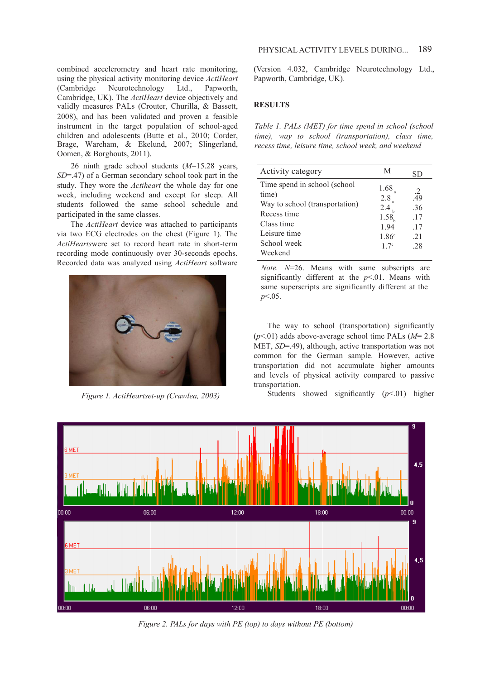combined accelerometry and heart rate monitoring, using the physical activity monitoringdevice *ActiHeart*  (Cambridge Neurotechnology Ltd., Papworth, Cambridge, UK). The *ActiHeart* device objectively and validly measures PALs (Crouter, Churilla, & Bassett, 2008), and has been validated and proven a feasible instrument in the target population of school-aged children and adolescents (Butte et al., 2010; Corder, Brage, Wareham, & Ekelund, 2007; Slingerland, Oomen, & Borghouts, 2011).

26 ninth grade school students (*M*=15.28 years, *SD*=.47) of a German secondary school took part in the study. They wore the *Actiheart* the whole day for one week, including weekend and except for sleep. All students followed the same school schedule and participated in the same classes.

The *ActiHeart* device was attached to participants via two ECG electrodes on the chest (Figure 1). The *ActiHearts*were set to record heart rate in short-term recording mode continuously over 30-seconds epochs. Recorded data was analyzed using *ActiHeart* software



*Figure 1. ActiHeartset-up (Crawlea, 2003)*

(Version 4.032, Cambridge Neurotechnology Ltd., Papworth, Cambridge, UK).

## **RESULTS**

*Table 1. PALs (MET) for time spend in school (school time), way to school (transportation), class time, recess time, leisure time, school week, and weekend*

| Activity category                                                                                                                               | M                                                           | SD                                               |
|-------------------------------------------------------------------------------------------------------------------------------------------------|-------------------------------------------------------------|--------------------------------------------------|
| Time spend in school (school)<br>time)<br>Way to school (transportation)<br>Recess time<br>Class time<br>Leisure time<br>School week<br>Weekend | 1.68<br>2.8<br>2.4<br>1.58<br>1.94<br>$1.86^{\circ}$<br>17c | $\frac{2}{49}$<br>.36<br>.17<br>.17<br>21<br>-28 |
|                                                                                                                                                 |                                                             |                                                  |

*Note. N*=26. Means with same subscripts are significantly different at the  $p<01$ . Means with same superscripts are significantly different at the *p*<.05.

The way to school (transportation) significantly (*p*<.01) adds above-average school time PALs (*M*= 2.8 MET, *SD*=.49), although, active transportation was not common for the German sample. However, active transportation did not accumulate higher amounts and levels of physical activity compared to passive transportation.

Students showed significantly  $(p<01)$  higher



*Figure 2. PALs for days with PE (top) to days without PE (bottom)*